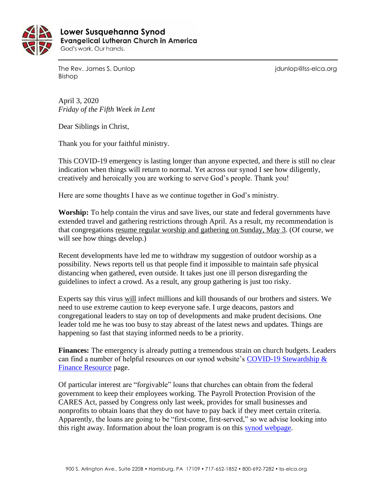

 **Lower Susquehanna SynodEvangelical Lutheran Church in America** God's work. Our hands.

The Rev. James S. Dunlop in the Rev. James S. Dunlop in the second state of the second in the Rev. James S. Dunlop Bishop

April 3, 2020 *Friday of the Fifth Week in Lent*

Dear Siblings in Christ,

Thank you for your faithful ministry.

This COVID-19 emergency is lasting longer than anyone expected, and there is still no clear indication when things will return to normal. Yet across our synod I see how diligently, creatively and heroically you are working to serve God's people. Thank you!

Here are some thoughts I have as we continue together in God's ministry.

**Worship:** To help contain the virus and save lives, our state and federal governments have extended travel and gathering restrictions through April. As a result, my recommendation is that congregations resume regular worship and gathering on Sunday, May 3. (Of course, we will see how things develop.)

Recent developments have led me to withdraw my suggestion of outdoor worship as a possibility. News reports tell us that people find it impossible to maintain safe physical distancing when gathered, even outside. It takes just one ill person disregarding the guidelines to infect a crowd. As a result, any group gathering is just too risky.

Experts say this virus will infect millions and kill thousands of our brothers and sisters. We need to use extreme caution to keep everyone safe. I urge deacons, pastors and congregational leaders to stay on top of developments and make prudent decisions. One leader told me he was too busy to stay abreast of the latest news and updates. Things are happening so fast that staying informed needs to be a priority.

**Finances:** The emergency is already putting a tremendous strain on church budgets. Leaders can find a number of helpful resources on our synod website's [COVID-19 Stewardship &](https://www.lss-elca.org/covid-19_finance_stewardship/)  [Finance Resource](https://www.lss-elca.org/covid-19_finance_stewardship/) page.

Of particular interest are "forgivable" loans that churches can obtain from the federal government to keep their employees working. The Payroll Protection Provision of the CARES Act, passed by Congress only last week, provides for small businesses and nonprofits to obtain loans that they do not have to pay back if they meet certain criteria. Apparently, the loans are going to be "first-come, first-served," so we advise looking into this right away. Information about the loan program is on this [synod webpage.](https://www.lss-elca.org/covid-19_finance_stewardship/)